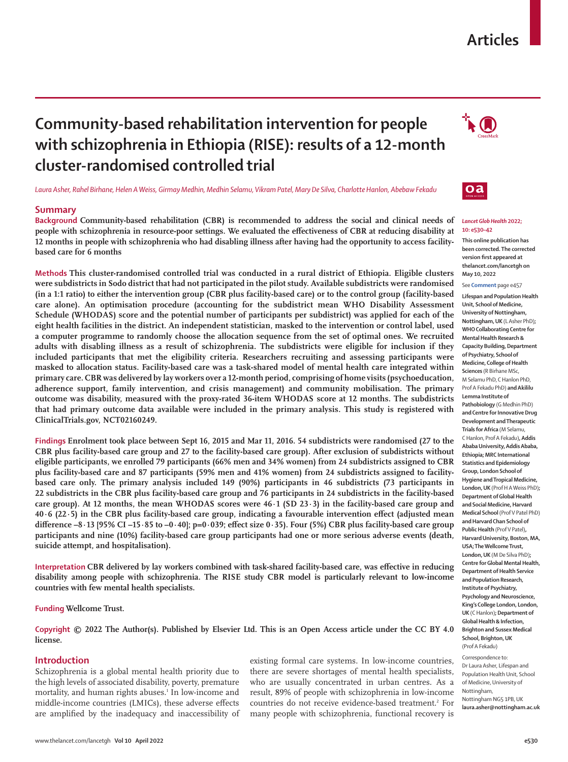# **Articles**

# **Community-based rehabilitation intervention for people with schizophrenia in Ethiopia (RISE): results of a 12-month cluster-randomised controlled trial**

*Laura Asher, Rahel Birhane, Helen A Weiss, Girmay Medhin, Medhin Selamu, Vikram Patel, Mary De Silva, Charlotte Hanlon, Abebaw Fekadu*

# **Summary**

**Background Community-based rehabilitation (CBR) is recommended to address the social and clinical needs of people with schizophrenia in resource-poor settings. We evaluated the effectiveness of CBR at reducing disability at 12 months in people with schizophrenia who had disabling illness after having had the opportunity to access facilitybased care for 6 months**

**Methods This cluster-randomised controlled trial was conducted in a rural district of Ethiopia. Eligible clusters were subdistricts in Sodo district that had not participated in the pilot study. Available subdistricts were randomised (in a 1:1 ratio) to either the intervention group (CBR plus facility-based care) or to the control group (facility-based care alone). An optimisation procedure (accounting for the subdistrict mean WHO Disability Assessment Schedule (WHODAS) score and the potential number of participants per subdistrict) was applied for each of the eight health facilities in the district. An independent statistician, masked to the intervention or control label, used a computer programme to randomly choose the allocation sequence from the set of optimal ones. We recruited adults with disabling illness as a result of schizophrenia. The subdistricts were eligible for inclusion if they included participants that met the eligibility criteria. Researchers recruiting and assessing participants were masked to allocation status. Facility-based care was a task-shared model of mental health care integrated within primary care. CBR was delivered by lay workers over a 12-month period, comprising of home visits (psychoeducation, adherence support, family intervention, and crisis management) and community mobilisation. The primary outcome was disability, measured with the proxy-rated 36-item WHODAS score at 12 months. The subdistricts that had primary outcome data available were included in the primary analysis. This study is registered with ClinicalTrials.gov, NCT02160249.**

**Findings Enrolment took place between Sept 16, 2015 and Mar 11, 2016. 54 subdistricts were randomised (27 to the CBR plus facility-based care group and 27 to the facility-based care group). After exclusion of subdistricts without eligible participants, we enrolled 79 participants (66% men and 34% women) from 24 subdistricts assigned to CBR plus facility-based care and 87 participants (59% men and 41% women) from 24 subdistricts assigned to facilitybased care only. The primary analysis included 149 (90%) participants in 46 subdistricts (73 participants in 22 subdistricts in the CBR plus facility-based care group and 76 participants in 24 subdistricts in the facility-based care group). At 12 months, the mean WHODAS scores were 46·1 (SD 23·3) in the facility-based care group and 40·6 (22·5) in the CBR plus facility-based care group, indicating a favourable intervention effect (adjusted mean difference –8·13 [95% CI –15·85 to –0·40]; p=0·039; effect size 0·35). Four (5%) CBR plus facility-based care group participants and nine (10%) facility-based care group participants had one or more serious adverse events (death, suicide attempt, and hospitalisation).**

**Interpretation CBR delivered by lay workers combined with task-shared facility-based care, was effective in reducing disability among people with schizophrenia. The RISE study CBR model is particularly relevant to low-income countries with few mental health specialists.**

**Funding Wellcome Trust.**

**Copyright © 2022 The Author(s). Published by Elsevier Ltd. This is an Open Access article under the CC BY 4.0 license.**

## **Introduction**

Schizophrenia is a global mental health priority due to the high levels of associated disability, poverty, premature mortality, and human rights abuses.<sup>1</sup> In low-income and middle-income countries (LMICs), these adverse effects are amplified by the inadequacy and inaccessibility of

existing formal care systems. In low-income countries, there are severe shortages of mental health specialists, who are usually concentrated in urban centres. As a result, 89% of people with schizophrenia in low-income countries do not receive evidence-based treatment.<sup>2</sup> For many people with schizophrenia, functional recovery is





#### *Lancet Glob Health* **2022; 10: e530–42**

**This online publication has been corrected. The corrected version first appeared at thelancet.com/lancetgh on May 10, 2022** 

#### See **Comment** page e457

**Lifespan and Population Health Unit, School of Medicine, University of Nottingham, Nottingham, UK** (L Asher PhD)**; WHO Collaborating Centre for Mental Health Research & Capacity Building, Department of Psychiatry, School of Medicine, College of Health Sciences** (R Birhane MSc, M Selamu PhD, C Hanlon PhD, Prof A Fekadu PhD) **and Akililu Lemma Institute of Pathobiology** (G Medhin PhD) **and Centre for Innovative Drug Development and Therapeutic Trials for Africa** (M Selamu, C Hanlon, Prof A Fekadu)**, Addis Ababa University, Addis Ababa, Ethiopia; MRC International Statistics and Epidemiology Group, London School of Hygiene and Tropical Medicine, London, UK** (Prof H A Weiss PhD)**; Department of Global Health and Social Medicine, Harvard Medical School** (Prof V Patel PhD) **and Harvard Chan School of Public Health** (Prof V Patel)**, Harvard University, Boston, MA, USA; The Wellcome Trust, London, UK** (M De Silva PhD)**; Centre for Global Mental Health, Department of Health Service and Population Research, Institute of Psychiatry, Psychology and Neuroscience, King's College London, London, UK** (C Hanlon)**; Department of Global Health & Infection, Brighton and Sussex Medical School, Brighton, UK**  (Prof A Fekadu)

Correspondence to: Dr Laura Asher, Lifespan and Population Health Unit, School of Medicine, University of Nottingham, Nottingham NG5 1PB, UK **laura.asher@nottingham.ac.uk**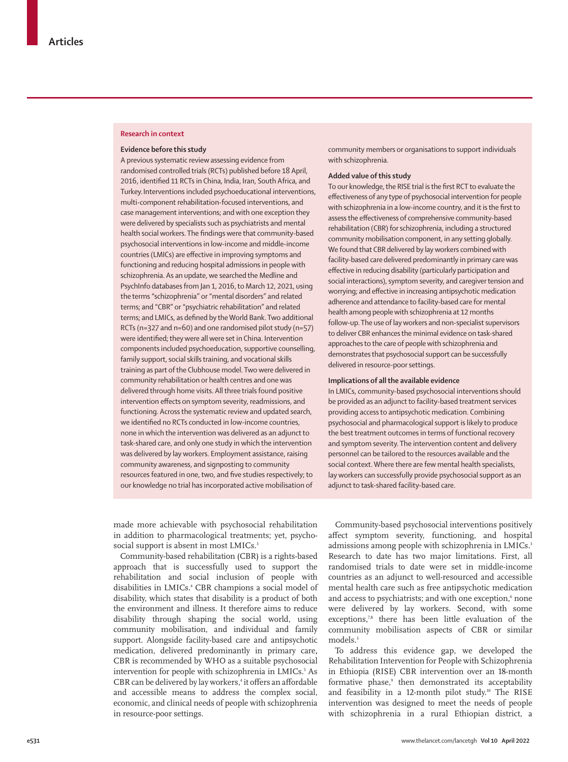### **Research in context**

## **Evidence before this study**

A previous systematic review assessing evidence from randomised controlled trials (RCTs) published before 18 April, 2016, identified 11 RCTs in China, India, Iran, South Africa, and Turkey.Interventions included psychoeducational interventions, multi-component rehabilitation-focused interventions, and case management interventions; and with one exception they were delivered by specialists such as psychiatrists and mental health social workers. The findings were that community-based psychosocial interventions in low-income and middle-income countries (LMICs) are effective in improving symptoms and functioning and reducing hospital admissions in people with schizophrenia. As an update, we searched the Medline and PsychInfo databases from Jan 1, 2016, to March 12, 2021, using the terms "schizophrenia" or "mental disorders" and related terms; and "CBR" or "psychiatric rehabilitation" and related terms; and LMICs, as defined by the World Bank. Two additional RCTs (n=327 and n=60) and one randomised pilot study (n=57) were identified; they were all were set in China. Intervention components included psychoeducation, supportive counselling, family support, social skills training, and vocational skills training as part of the Clubhouse model. Two were delivered in community rehabilitation or health centres and one was delivered through home visits. All three trials found positive intervention effects on symptom severity, readmissions, and functioning. Across the systematic review and updated search, we identified no RCTs conducted in low-income countries, none in which the intervention was delivered as an adjunct to task-shared care, and only one study in which the intervention was delivered by lay workers. Employment assistance, raising community awareness, and signposting to community resources featured in one, two, and five studies respectively; to our knowledge no trial has incorporated active mobilisation of

community members or organisations to support individuals with schizophrenia.

## **Added value of this study**

To our knowledge, the RISE trial is the first RCT to evaluate the effectiveness of any type of psychosocial intervention for people with schizophrenia in a low-income country, and it is the first to assess the effectiveness of comprehensive community-based rehabilitation (CBR) for schizophrenia, including a structured community mobilisation component, in any setting globally. We found that CBR delivered by lay workers combined with facility-based care delivered predominantly in primary care was effective in reducing disability (particularly participation and social interactions), symptom severity, and caregiver tension and worrying; and effective in increasing antipsychotic medication adherence and attendance to facility-based care for mental health among people with schizophrenia at 12 months follow-up. The use of lay workers and non-specialist supervisors to deliver CBR enhances the minimal evidence on task-shared approaches to the care of people with schizophrenia and demonstrates that psychosocial support can be successfully delivered in resource-poor settings.

#### **Implications of all the available evidence**

In LMICs, community-based psychosocial interventions should be provided as an adjunct to facility-based treatment services providing access to antipsychotic medication. Combining psychosocial and pharmacological support is likely to produce the best treatment outcomes in terms of functional recovery and symptom severity. The intervention content and delivery personnel can be tailored to the resources available and the social context. Where there are few mental health specialists, lay workers can successfully provide psychosocial support as an adjunct to task-shared facility-based care.

made more achievable with psychosocial rehabilitation in addition to pharmacological treatments; yet, psychosocial support is absent in most LMICs.<sup>3</sup>

Community-based rehabilitation (CBR) is a rights-based approach that is successfully used to support the rehabilitation and social inclusion of people with disabilities in LMICs.4 CBR champions a social model of disability, which states that disability is a product of both the environment and illness. It therefore aims to reduce disability through shaping the social world, using community mobilisation, and individual and family support. Alongside facility-based care and antipsychotic medication, delivered predominantly in primary care**,** CBR is recommended by WHO as a suitable psychosocial intervention for people with schizophrenia in LMICs.<sup>5</sup> As CBR can be delivered by lay workers,<sup>4</sup> it offers an affordable and accessible means to address the complex social, economic, and clinical needs of people with schizophrenia in resource-poor settings.

Community-based psychosocial interventions positively affect symptom severity, functioning, and hospital admissions among people with schizophrenia in LMICs.<sup>3</sup> Research to date has two major limitations. First, all randomised trials to date were set in middle-income countries as an adjunct to well-resourced and accessible mental health care such as free antipsychotic medication and access to psychiatrists; and with one exception,<sup>6</sup> none were delivered by lay workers. Second, with some exceptions,<sup>7,8</sup> there has been little evaluation of the community mobilisation aspects of CBR or similar models.<sup>3</sup>

To address this evidence gap, we developed the Rehabilitation Intervention for People with Schizophrenia in Ethiopia (RISE) CBR intervention over an 18-month formative phase,<sup>9</sup> then demonstrated its acceptability and feasibility in a 12-month pilot study.<sup>10</sup> The RISE intervention was designed to meet the needs of people with schizophrenia in a rural Ethiopian district, a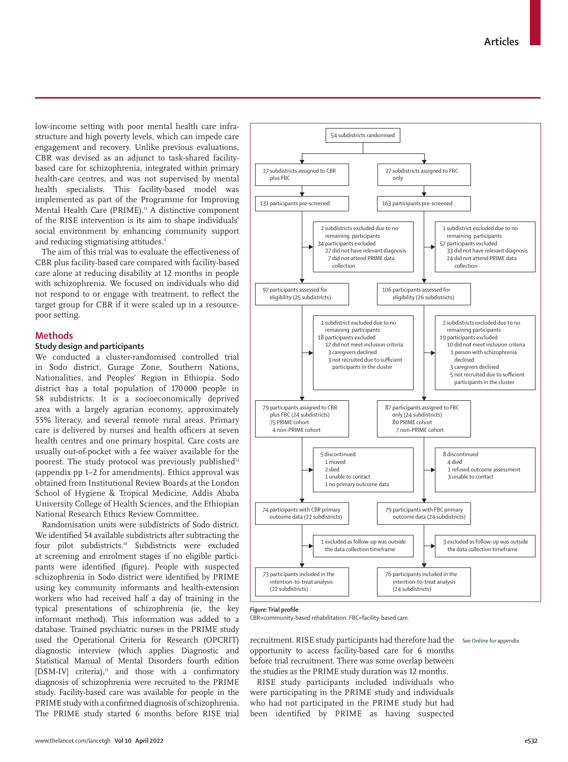low-income setting with poor mental health care infrastructure and high poverty levels, which can impede care engagement and recovery. Unlike previous evaluations, CBR was devised as an adjunct to task-shared facilitybased care for schizophrenia, integrated within primary health-care centres, and was not supervised by mental health specialists. This facility-based model was implemented as part of the Programme for Improving Mental Health Care (PRIME).<sup>11</sup> A distinctive component of the RISE intervention is its aim to shape individuals' social environment by enhancing community support and reducing stigmatising attitudes.<sup>4</sup>

The aim of this trial was to evaluate the effectiveness of CBR plus facility-based care compared with facility-based care alone at reducing disability at 12 months in people with schizophrenia. We focused on individuals who did not respond to or engage with treatment, to reflect the target group for CBR if it were scaled up in a resourcepoor setting.

# **Methods**

# **Study design and participants**

We conducted a cluster-randomised controlled trial in Sodo district, Gurage Zone, Southern Nations, Nationalities, and Peoples' Region in Ethiopia. Sodo district has a total population of 170 000 people in 58 subdistricts. It is a socioeconomically deprived area with a largely agrarian economy, approximately 55% literacy, and several remote rural areas. Primary care is delivered by nurses and health officers at seven health centres and one primary hospital. Care costs are usually out-of-pocket with a fee waiver available for the poorest. The study protocol was previously published<sup>12</sup> (appendix pp 1–2 for amendments). Ethics approval was obtained from Institutional Review Boards at the London School of Hygiene & Tropical Medicine, Addis Ababa University College of Health Sciences, and the Ethiopian National Research Ethics Review Committee.

Randomisation units were subdistricts of Sodo district. We identified 54 available subdistricts after subtracting the four pilot subdistricts.10 Subdistricts were excluded at screening and enrolment stages if no eligible participants were identified (figure). People with suspected schizophrenia in Sodo district were identified by PRIME using key community informants and health-extension workers who had received half a day of training in the typical presentations of schizophrenia (ie, the key informant method). This information was added to a database. Trained psychiatric nurses in the PRIME study used the Operational Criteria for Research (OPCRIT) diagnostic interview (which applies Diagnostic and Statistical Manual of Mental Disorders fourth edition [DSM-IV] criteria),<sup>13</sup> and those with a confirmatory diagnosis of schizophrenia were recruited to the PRIME study. Facility-based care was available for people in the PRIME study with a confirmed diagnosis of schizophrenia. The PRIME study started 6 months before RISE trial



#### *Figure:* **Trial profile**

CBR=community-based rehabilitation. FBC=facility-based care.

recruitment. RISE study participants had therefore had the See **Online** for appendixopportunity to access facility-based care for 6 months before trial recruitment. There was some overlap between the studies as the PRIME study duration was 12 months.

RISE study participants included individuals who were participating in the PRIME study and individuals who had not participated in the PRIME study but had been identified by PRIME as having suspected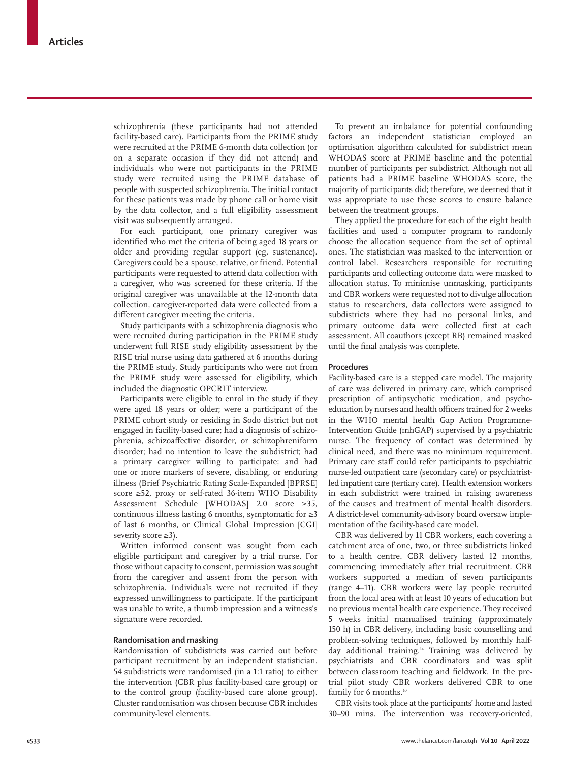schizophrenia (these participants had not attended facility-based care). Participants from the PRIME study were recruited at the PRIME 6-month data collection (or on a separate occasion if they did not attend) and individuals who were not participants in the PRIME study were recruited using the PRIME database of people with suspected schizophrenia. The initial contact for these patients was made by phone call or home visit by the data collector, and a full eligibility assessment visit was subsequently arranged.

For each participant, one primary caregiver was identified who met the criteria of being aged 18 years or older and providing regular support (eg, sustenance). Caregivers could be a spouse, relative, or friend. Potential participants were requested to attend data collection with a caregiver, who was screened for these criteria. If the original caregiver was unavailable at the 12-month data collection, caregiver-reported data were collected from a different caregiver meeting the criteria.

Study participants with a schizophrenia diagnosis who were recruited during participation in the PRIME study underwent full RISE study eligibility assessment by the RISE trial nurse using data gathered at 6 months during the PRIME study. Study participants who were not from the PRIME study were assessed for eligibility, which included the diagnostic OPCRIT interview.

Participants were eligible to enrol in the study if they were aged 18 years or older; were a participant of the PRIME cohort study or residing in Sodo district but not engaged in facility-based care; had a diagnosis of schizophrenia, schizoaffective disorder, or schizophreniform disorder; had no intention to leave the subdistrict; had a primary caregiver willing to participate; and had one or more markers of severe, disabling, or enduring illness (Brief Psychiatric Rating Scale-Expanded [BPRSE] score ≥52, proxy or self-rated 36-item WHO Disability Assessment Schedule [WHODAS] 2.0 score ≥35, continuous illness lasting 6 months, symptomatic for ≥3 of last 6 months, or Clinical Global Impression [CGI] severity score ≥3).

Written informed consent was sought from each eligible participant and caregiver by a trial nurse. For those without capacity to consent, permission was sought from the caregiver and assent from the person with schizophrenia. Individuals were not recruited if they expressed unwillingness to participate. If the participant was unable to write, a thumb impression and a witness's signature were recorded.

### **Randomisation and masking**

Randomisation of subdistricts was carried out before participant recruitment by an independent statistician. 54 subdistricts were randomised (in a 1:1 ratio) to either the intervention (CBR plus facility-based care group) or to the control group (facility-based care alone group). Cluster randomisation was chosen because CBR includes community-level elements.

To prevent an imbalance for potential confounding factors an independent statistician employed an optimisation algorithm calculated for subdistrict mean WHODAS score at PRIME baseline and the potential number of participants per subdistrict. Although not all patients had a PRIME baseline WHODAS score, the majority of participants did; therefore, we deemed that it was appropriate to use these scores to ensure balance between the treatment groups.

They applied the procedure for each of the eight health facilities and used a computer program to randomly choose the allocation sequence from the set of optimal ones. The statistician was masked to the intervention or control label. Researchers responsible for recruiting participants and collecting outcome data were masked to allocation status. To minimise unmasking, participants and CBR workers were requested not to divulge allocation status to researchers, data collectors were assigned to subdistricts where they had no personal links, and primary outcome data were collected first at each assessment. All coauthors (except RB) remained masked until the final analysis was complete.

## **Procedures**

Facility-based care is a stepped care model. The majority of care was delivered in primary care, which comprised prescription of antipsychotic medication, and psychoeducation by nurses and health officers trained for 2 weeks in the WHO mental health Gap Action Programme-Intervention Guide (mhGAP) supervised by a psychiatric nurse. The frequency of contact was determined by clinical need, and there was no minimum requirement. Primary care staff could refer participants to psychiatric nurse-led outpatient care (secondary care) or psychiatristled inpatient care (tertiary care). Health extension workers in each subdistrict were trained in raising awareness of the causes and treatment of mental health disorders. A district-level community-advisory board oversaw implementation of the facility-based care model.

CBR was delivered by 11 CBR workers, each covering a catchment area of one, two, or three subdistricts linked to a health centre. CBR delivery lasted 12 months, commencing immediately after trial recruitment. CBR workers supported a median of seven participants (range 4–11). CBR workers were lay people recruited from the local area with at least 10 years of education but no previous mental health care experience. They received 5 weeks initial manualised training (approximately 150 h) in CBR delivery, including basic counselling and problem-solving techniques, followed by monthly halfday additional training.<sup>14</sup> Training was delivered by psychiatrists and CBR coordinators and was split between classroom teaching and fieldwork. In the pretrial pilot study CBR workers delivered CBR to one family for 6 months.<sup>10</sup>

CBR visits took place at the participants' home and lasted 30–90 mins. The intervention was recovery-oriented,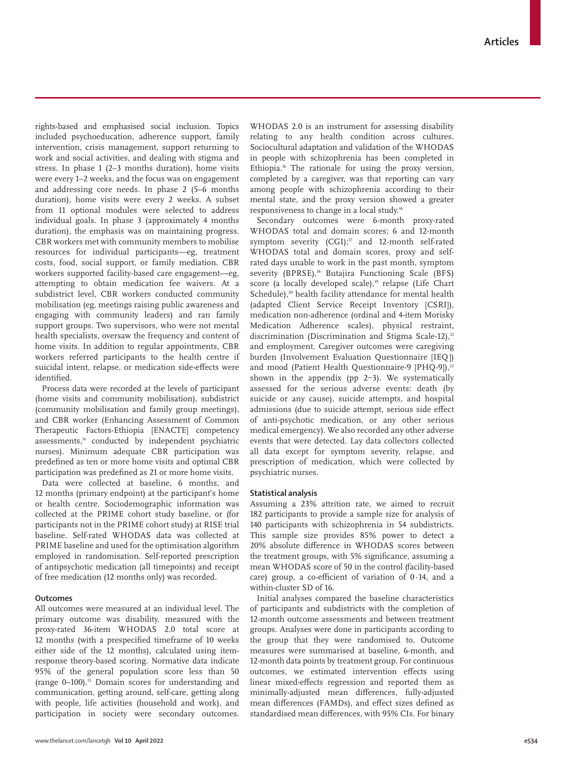rights-based and emphasised social inclusion. Topics included psychoeducation, adherence support, family intervention, crisis management, support returning to work and social activities, and dealing with stigma and stress. In phase 1 (2–3 months duration), home visits were every 1–2 weeks, and the focus was on engagement and addressing core needs. In phase 2 (5–6 months duration), home visits were every 2 weeks. A subset from 11 optional modules were selected to address individual goals. In phase 3 (approximately 4 months duration), the emphasis was on maintaining progress. CBR workers met with community members to mobilise resources for individual participants—eg, treatment costs, food, social support, or family mediation. CBR workers supported facility-based care engagement—eg, attempting to obtain medication fee waivers. At a subdistrict level, CBR workers conducted community mobilisation (eg, meetings raising public awareness and engaging with community leaders) and ran family support groups. Two supervisors, who were not mental health specialists, oversaw the frequency and content of home visits. In addition to regular appointments, CBR workers referred participants to the health centre if suicidal intent, relapse, or medication side-effects were identified.

Process data were recorded at the levels of participant (home visits and community mobilisation), subdistrict (community mobilisation and family group meetings), and CBR worker (Enhancing Assessment of Common Therapeutic Factors-Ethiopia [ENACTE] competency assessments,14 conducted by independent psychiatric nurses). Minimum adequate CBR participation was predefined as ten or more home visits and optimal CBR participation was predefined as 21 or more home visits.

Data were collected at baseline, 6 months, and 12 months (primary endpoint) at the participant's home or health centre. Sociodemographic information was collected at the PRIME cohort study baseline, or (for participants not in the PRIME cohort study) at RISE trial baseline. Self-rated WHODAS data was collected at PRIME baseline and used for the optimisation algorithm employed in randomisation. Self-reported prescription of antipsychotic medication (all timepoints) and receipt of free medication (12 months only) was recorded.

## **Outcomes**

All outcomes were measured at an individual level. The primary outcome was disability, measured with the proxy-rated 36-item WHODAS 2.0 total score at 12 months (with a prespecified timeframe of 10 weeks either side of the 12 months), calculated using itemresponse theory-based scoring. Normative data indicate 95% of the general population score less than 50 (range 0–100).15 Domain scores for understanding and communication, getting around, self-care, getting along with people, life activities (household and work), and participation in society were secondary outcomes. WHODAS 2.0 is an instrument for assessing disability relating to any health condition across cultures. Sociocultural adaptation and validation of the WHODAS in people with schizophrenia has been completed in Ethiopia.16 The rationale for using the proxy version, completed by a caregiver, was that reporting can vary among people with schizophrenia according to their mental state, and the proxy version showed a greater responsiveness to change in a local study.16

Secondary outcomes were 6-month proxy-rated WHODAS total and domain scores; 6 and 12-month symptom severity (CGI):<sup>17</sup> and 12-month self-rated WHODAS total and domain scores, proxy and selfrated days unable to work in the past month, symptom severity (BPRSE),<sup>18</sup> Butajira Functioning Scale (BFS) score (a locally developed scale),<sup>19</sup> relapse (Life Chart Schedule),<sup>20</sup> health facility attendance for mental health (adapted Client Service Receipt Inventory [CSRI]), medication non-adherence (ordinal and 4-item Morisky Medication Adherence scales), physical restraint, discrimination (Discrimination and Stigma Scale-12),<sup>21</sup> and employment. Caregiver outcomes were caregiving burden (Involvement Evaluation Questionnaire [IEQ]) and mood (Patient Health Questionnaire-9 [PHQ-9]),<sup>22</sup> shown in the appendix (pp  $2-3$ ). We systematically assessed for the serious adverse events: death (by suicide or any cause), suicide attempts, and hospital admissions (due to suicide attempt, serious side effect of anti-psychotic medication, or any other serious medical emergency). We also recorded any other adverse events that were detected. Lay data collectors collected all data except for symptom severity, relapse, and prescription of medication, which were collected by psychiatric nurses.

## **Statistical analysis**

Assuming a 23% attrition rate, we aimed to recruit 182 participants to provide a sample size for analysis of 140 participants with schizophrenia in 54 subdistricts. This sample size provides 85% power to detect a 20% absolute difference in WHODAS scores between the treatment groups, with 5% significance, assuming a mean WHODAS score of 50 in the control (facility-based care) group, a co-efficient of variation of 0·14, and a within-cluster SD of 16.

Initial analyses compared the baseline characteristics of participants and subdistricts with the completion of 12-month outcome assessments and between treatment groups. Analyses were done in participants according to the group that they were randomised to. Outcome measures were summarised at baseline, 6-month, and 12-month data points by treatment group. For continuous outcomes, we estimated intervention effects using linear mixed-effects regression and reported them as minimally-adjusted mean differences, fully-adjusted mean differences (FAMDs), and effect sizes defined as standardised mean differences, with 95% CIs. For binary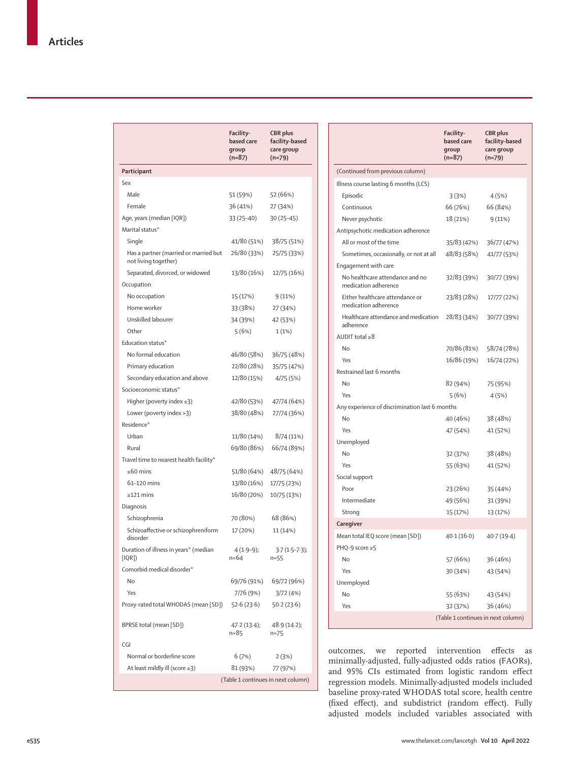|                                                               | Facility-<br>based care<br>group<br>$(n=87)$ | <b>CBR</b> plus<br>facility-based<br>care group<br>$(n=79)$ |
|---------------------------------------------------------------|----------------------------------------------|-------------------------------------------------------------|
| Participant                                                   |                                              |                                                             |
| Sex                                                           |                                              |                                                             |
| Male                                                          | 51 (59%)                                     | 52 (66%)                                                    |
| Female                                                        | 36 (41%)                                     | 27 (34%)                                                    |
| Age, years (median [IQR])                                     | 33 (25-40)                                   | $30(25-45)$                                                 |
| Marital status*                                               |                                              |                                                             |
| Single                                                        | 41/80 (51%)                                  | 38/75 (51%)                                                 |
| Has a partner (married or married but<br>not living together) | 26/80 (33%)                                  | 25/75 (33%)                                                 |
| Separated, divorced, or widowed                               | 13/80 (16%)                                  | 12/75 (16%)                                                 |
| Occupation                                                    |                                              |                                                             |
| No occupation                                                 | 15 (17%)                                     | 9(11%)                                                      |
| Home worker                                                   | 33 (38%)                                     | 27 (34%)                                                    |
| Unskilled labourer                                            | 34 (39%)                                     | 42 (53%)                                                    |
| Other                                                         | 5(6%)                                        | 1(1%)                                                       |
| Education status*                                             |                                              |                                                             |
| No formal education                                           | 46/80 (58%)                                  | 36/75 (48%)                                                 |
| Primary education                                             | 22/80 (28%)                                  | 35/75 (47%)                                                 |
| Secondary education and above                                 | 12/80 (15%)                                  | 4/75 (5%)                                                   |
| Socioeconomic status*                                         |                                              |                                                             |
| Higher (poverty index $\leq$ 3)                               | 42/80 (53%)                                  | 47/74 (64%)                                                 |
| Lower (poverty index > 3)                                     | 38/80 (48%)                                  | 27/74 (36%)                                                 |
| Residence*                                                    |                                              |                                                             |
| Urban                                                         | 11/80 (14%)                                  | 8/74 (11%)                                                  |
| Rural                                                         | 69/80 (86%)                                  | 66/74 (89%)                                                 |
| Travel time to nearest health facility*                       |                                              |                                                             |
| ≤60 mins                                                      | 51/80 (64%)                                  | 48/75 (64%)                                                 |
| 61-120 mins                                                   | 13/80 (16%)                                  | 17/75 (23%)                                                 |
| $\geq$ 121 mins                                               | 16/80 (20%)                                  | 10/75 (13%)                                                 |
| Diagnosis                                                     |                                              |                                                             |
| Schizophrenia                                                 | 70 (80%)                                     | 68 (86%)                                                    |
| Schizoaffective or schizophreniform<br>disorder               | 17 (20%)                                     | 11 (14%)                                                    |
| Duration of illness in years* (median<br>[IQR])               | $4(1.9-9);$<br>n=64                          | $3.7(1.5-7.3);$<br>$n = 55$                                 |
| Comorbid medical disorder*                                    |                                              |                                                             |
| No                                                            | 69/76 (91%)                                  | 69/72 (96%)                                                 |
| Yes                                                           | 7/76 (9%)                                    | 3/72(4%)                                                    |
| Proxy-rated total WHODAS (mean [SD])                          | 52.6 (23.6)                                  | 50.2(23.6)                                                  |
| BPRSE total (mean [SD])                                       | 47.2(13.4);<br>n=85                          | 48.9(14.2);<br>$n=75$                                       |
| CGI                                                           |                                              |                                                             |
| Normal or borderline score                                    | 6 (7%)                                       | 2(3%)                                                       |
| At least mildly ill (score ≥3)                                | 81 (93%)                                     | 77 (97%)                                                    |
|                                                               | (Table 1 continues in next column)           |                                                             |

|                                                         | Facility-<br>based care<br>qroup<br>$(n=87)$ | <b>CBR</b> plus<br>facility-based<br>care group<br>$(n=79)$ |
|---------------------------------------------------------|----------------------------------------------|-------------------------------------------------------------|
| (Continued from previous column)                        |                                              |                                                             |
| Illness course lasting 6 months (LCS)                   |                                              |                                                             |
| Episodic                                                | 3(3%)                                        | 4 (5%)                                                      |
| Continuous                                              | 66 (76%)                                     | 66 (84%)                                                    |
| Never psychotic                                         | 18 (21%)                                     | 9(11%)                                                      |
| Antipsychotic medication adherence                      |                                              |                                                             |
| All or most of the time                                 | 35/83 (42%)                                  | 36/77 (47%)                                                 |
| Sometimes, occasionally, or not at all                  | 48/83 (58%)                                  | 41/77 (53%)                                                 |
| Engagement with care                                    |                                              |                                                             |
| No healthcare attendance and no<br>medication adherence | 32/83 (39%)                                  | 30/77 (39%)                                                 |
| Either healthcare attendance or<br>medication adherence | 23/83 (28%)                                  | 17/77 (22%)                                                 |
| Healthcare attendance and medication<br>adherence       | 28/83 (34%)                                  | 30/77 (39%)                                                 |
| $AUDIT total \geq 8$                                    |                                              |                                                             |
| No                                                      | 70/86 (81%)                                  | 58/74 (78%)                                                 |
| Yes                                                     | 16/86 (19%)                                  | 16/74 (22%)                                                 |
| Restrained last 6 months                                |                                              |                                                             |
| No                                                      | 82 (94%)                                     | 75 (95%)                                                    |
| Yes                                                     | 5(6%)                                        | 4 (5%)                                                      |
| Any experience of discrimination last 6 months          |                                              |                                                             |
| No                                                      | 40 (46%)                                     | 38 (48%)                                                    |
| Yes                                                     | 47 (54%)                                     | 41 (52%)                                                    |
| Unemployed                                              |                                              |                                                             |
| No                                                      | 32 (37%)                                     | 38 (48%)                                                    |
| Yes                                                     | 55 (63%)                                     | 41 (52%)                                                    |
| Social support                                          |                                              |                                                             |
| Poor                                                    | 23 (26%)                                     | 35 (44%)                                                    |
| Intermediate                                            | 49 (56%)                                     | 31 (39%)                                                    |
| Strong                                                  | 15 (17%)                                     | 13 (17%)                                                    |
| Caregiver                                               |                                              |                                                             |
| Mean total IEQ score (mean [SD])                        | 40.1 (16.0)                                  | 40.7(19.4)                                                  |
| PHQ-9 score ≥5                                          |                                              |                                                             |
| No                                                      | 57 (66%)                                     | 36 (46%)                                                    |
| Yes                                                     | 30 (34%)                                     | 43 (54%)                                                    |
| Unemployed                                              |                                              |                                                             |
| No                                                      | 55 (63%)                                     | 43 (54%)                                                    |
| Yes                                                     | 32 (37%)                                     | 36 (46%)                                                    |
|                                                         |                                              | (Table 1 continues in next column)                          |

outcomes, we reported intervention effects as minimally-adjusted, fully-adjusted odds ratios (FAORs), and 95% CIs estimated from logistic random effect regression models. Minimally-adjusted models included baseline proxy-rated WHODAS total score, health centre (fixed effect), and subdistrict (random effect). Fully adjusted models included variables associated with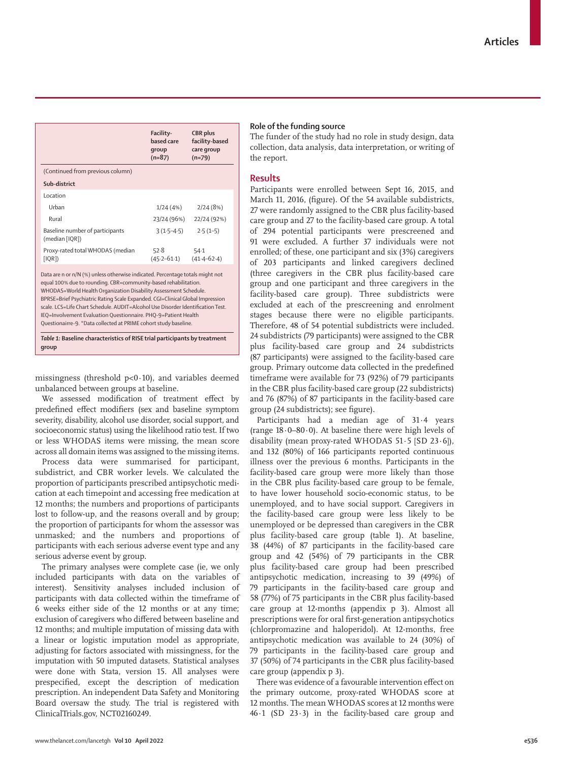|                                                                               | Facility-<br>based care<br>qroup<br>$(n=87)$ | CBR plus<br>facility-based<br>care group<br>$(n=79)$ |  |  |
|-------------------------------------------------------------------------------|----------------------------------------------|------------------------------------------------------|--|--|
| (Continued from previous column)                                              |                                              |                                                      |  |  |
| Sub-district                                                                  |                                              |                                                      |  |  |
| Location                                                                      |                                              |                                                      |  |  |
| Urban                                                                         | 1/24(4%)                                     | 2/24(8%)                                             |  |  |
| Rural                                                                         | 23/24 (96%)                                  | 22/24 (92%)                                          |  |  |
| Baseline number of participants<br>(median [IQR])                             | $3(1.5 - 4.5)$                               | $2.5(1-5)$                                           |  |  |
| Proxy-rated total WHODAS (median<br>[IQR])                                    | 52.8<br>$(45.2 - 61.1)$                      | 54.1<br>$(41.4 - 62.4)$                              |  |  |
| Data are n or n/N (%) unless otherwise indicated. Percentage totals might not |                                              |                                                      |  |  |

Data are n or n/N (%) unless otherwise indicated. Percentage totals might not equal 100% due to rounding. CBR=community-based rehabilitation. WHODAS=World Health Organization Disability Assessment Schedule. BPRSE=Brief Psychiatric Rating Scale Expanded. CGI=Clinical Global Impression scale. LCS=Life Chart Schedule. AUDIT=Alcohol Use Disorder Identification Test. IEQ=Involvement Evaluation Questionnaire. PHQ-9=Patient Health Questionairre-9. \*Data collected at PRIME cohort study baseline.

*Table 1:* **Baseline characteristics of RISE trial participants by treatment group**

missingness (threshold  $p<0.10$ ), and variables deemed unbalanced between groups at baseline.

We assessed modification of treatment effect by predefined effect modifiers (sex and baseline symptom severity, disability, alcohol use disorder, social support, and socioeconomic status) using the likelihood ratio test. If two or less WHODAS items were missing, the mean score across all domain items was assigned to the missing items.

Process data were summarised for participant, subdistrict, and CBR worker levels. We calculated the proportion of participants prescribed antipsychotic medication at each timepoint and accessing free medication at 12 months; the numbers and proportions of participants lost to follow-up, and the reasons overall and by group; the proportion of participants for whom the assessor was unmasked; and the numbers and proportions of participants with each serious adverse event type and any serious adverse event by group.

The primary analyses were complete case (ie, we only included participants with data on the variables of interest). Sensitivity analyses included inclusion of participants with data collected within the timeframe of 6 weeks either side of the 12 months or at any time; exclusion of caregivers who differed between baseline and 12 months; and multiple imputation of missing data with a linear or logistic imputation model as appropriate, adjusting for factors associated with missingness, for the imputation with 50 imputed datasets. Statistical analyses were done with Stata, version 15. All analyses were prespecified, except the description of medication prescription. An independent Data Safety and Monitoring Board oversaw the study. The trial is registered with ClinicalTrials.gov, NCT02160249.

## **Role of the funding source**

The funder of the study had no role in study design, data collection, data analysis, data interpretation, or writing of the report.

# **Results**

Participants were enrolled between Sept 16, 2015, and March 11, 2016, (figure). Of the 54 available subdistricts, 27 were randomly assigned to the CBR plus facility-based care group and 27 to the facility-based care group. A total of 294 potential participants were prescreened and 91 were excluded. A further 37 individuals were not enrolled; of these, one participant and six (3%) caregivers of 203 participants and linked caregivers declined (three caregivers in the CBR plus facility-based care group and one participant and three caregivers in the facility-based care group). Three subdistricts were excluded at each of the prescreening and enrolment stages because there were no eligible participants. Therefore, 48 of 54 potential subdistricts were included. 24 subdistricts (79 participants) were assigned to the CBR plus facility-based care group and 24 subdistricts (87 participants) were assigned to the facility-based care group. Primary outcome data collected in the predefined timeframe were available for 73 (92%) of 79 participants in the CBR plus facility-based care group (22 subdistricts) and 76 (87%) of 87 participants in the facility-based care group (24 subdistricts); see figure).

Participants had a median age of 31·4 years (range 18·0–80·0). At baseline there were high levels of disability (mean proxy-rated WHODAS 51·5 [SD 23·6]), and 132 (80%) of 166 participants reported continuous illness over the previous 6 months. Participants in the facility-based care group were more likely than those in the CBR plus facility-based care group to be female, to have lower household socio-economic status, to be unemployed, and to have social support. Caregivers in the facility-based care group were less likely to be unemployed or be depressed than caregivers in the CBR plus facility-based care group (table 1). At baseline, 38 (44%) of 87 participants in the facility-based care group and 42 (54%) of 79 participants in the CBR plus facility-based care group had been prescribed antipsychotic medication, increasing to 39 (49%) of 79 participants in the facility-based care group and 58 (77%) of 75 participants in the CBR plus facility-based care group at 12-months (appendix p 3). Almost all prescriptions were for oral first-generation antipsychotics (chlorpromazine and haloperidol). At 12-months, free antipsychotic medication was available to 24 (30%) of 79 participants in the facility-based care group and 37 (50%) of 74 participants in the CBR plus facility-based care group (appendix p 3).

There was evidence of a favourable intervention effect on the primary outcome, proxy-rated WHODAS score at 12 months. The mean WHODAS scores at 12 months were 46·1 (SD 23·3) in the facility-based care group and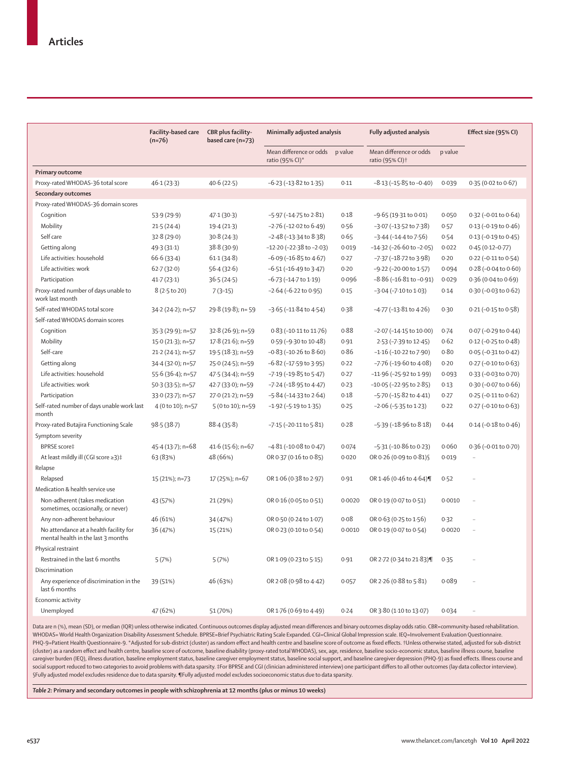|                                                                              | Facility-based care<br>$(n=76)$ | CBR plus facility-<br>based care (n=73) | Minimally adjusted analysis                |         | Fully adjusted analysis                                |         | Effect size (95% CI)            |  |
|------------------------------------------------------------------------------|---------------------------------|-----------------------------------------|--------------------------------------------|---------|--------------------------------------------------------|---------|---------------------------------|--|
|                                                                              |                                 |                                         | Mean difference or odds<br>ratio (95% CI)* | p value | Mean difference or odds<br>ratio (95% CI) <sup>+</sup> | p value |                                 |  |
| <b>Primary outcome</b>                                                       |                                 |                                         |                                            |         |                                                        |         |                                 |  |
| Proxy-rated WHODAS-36 total score                                            | 46.1(23.3)                      | 40.6(22.5)                              | $-6.23$ ( $-13.82$ to $1.35$ )             | 0.11    | $-8.13$ ( $-15.85$ to $-0.40$ )                        | 0.039   | $0.35(0.02 \text{ to } 0.67)$   |  |
| Secondary outcomes                                                           |                                 |                                         |                                            |         |                                                        |         |                                 |  |
| Proxy-rated WHODAS-36 domain scores                                          |                                 |                                         |                                            |         |                                                        |         |                                 |  |
| Cognition                                                                    | 53.9(29.9)                      | 47.1(30.3)                              | $-5.97$ ( $-14.75$ to $2.81$ )             | 0.18    | $-9.65$ (19.31 to 0.01)                                | 0.050   | 0.32 (-0.01 to 0.64)            |  |
| Mobility                                                                     | 21.5(24.4)                      | 19.4(21.3)                              | $-2.76$ ( $-12.02$ to $6.49$ )             | 0.56    | $-3.07$ ( $-13.52$ to $7.38$ )                         | 0.57    | $0.13$ (-0.19 to $0.46$ )       |  |
| Self care                                                                    | 32.8(29.0)                      | 30.8(24.3)                              | $-2.48$ ( $-13.34$ to $8.38$ )             | 0.65    | $-3.44$ ( $-14.4$ to $7.56$ )                          | 0.54    | $0.13 (-0.19 to 0.45)$          |  |
| Getting along                                                                | 49.3(31.1)                      | 38.8(30.9)                              | $-12.20$ ( $-22.38$ to $-2.03$ )           | 0.019   | $-14.32$ ( $-26.60$ to $-2.05$ )                       | 0.022   | $0.45(0.12 - 0.77)$             |  |
| Life activities: household                                                   | 66.6(33.4)                      | 61.1(34.8)                              | $-6.09$ ( $-16.85$ to $4.67$ )             | 0.27    | $-7.37$ ( $-18.72$ to $3.98$ )                         | 0.20    | 0.22 (-0.11 to 0.54)            |  |
| Life activities: work                                                        | 62.7(32.0)                      | 56.4(32.6)                              | $-6.51$ ( $-16.49$ to 3.47)                | 0.20    | $-9.22$ ( $-20.00$ to $1.57$ )                         | 0.094   | $0.28$ (-0.04 to 0.60)          |  |
| Participation                                                                | 41.7(23.1)                      | 36.5(24.5)                              | $-6.73$ ( $-14.7$ to $1.19$ )              | 0.096   | $-8.86$ ( $-16.81$ to $-0.91$ )                        | 0.029   | 0.36 (0.04 to 0.69)             |  |
| Proxy-rated number of days unable to<br>work last month                      | $8(2.5 \text{ to } 20)$         | $7(3-15)$                               | $-2.64$ ( $-6.22$ to 0.95)                 | 0.15    | $-3.04$ ( $-7.10$ to $1.03$ )                          | 0.14    | $0.30$ (-0.03 to 0.62)          |  |
| Self-rated WHODAS total score                                                | 34.2 (24.2); n=57               | 29.8 (19.8); n= 59                      | $-3.65$ ( $-11.84$ to $4.54$ )             | 0.38    | -4.77 (-13.81 to 4.26)                                 | 0.30    | $0.21$ (-0.15 to $0.58$ )       |  |
| Self-rated WHODAS domain scores                                              |                                 |                                         |                                            |         |                                                        |         |                                 |  |
| Cognition                                                                    | 35.3 (29.9); n=57               | 32.8 (26.9); n=59                       | $0.83$ (-10.11 to 11.76)                   | 0.88    | $-2.07$ ( $-14.15$ to $10.00$ )                        | 0.74    | 0.07 (-0.29 to 0.44)            |  |
| Mobility                                                                     | 15.0 (21.3); n=57               | 17.8 (21.6); n=59                       | 0.59 (-9.30 to 10.48)                      | 0.91    | 2.53 (-7.39 to 12.45)                                  | 0.62    | $0.12$ (-0.25 to 0.48)          |  |
| Self-care                                                                    | 21.2 (24.1); n=57               | 19.5 (18.3); n=59                       | $-0.83$ ( $-10.26$ to $8.60$ )             | 0.86    | $-1.16$ ( $-10.22$ to $7.90$ )                         | 0.80    | 0.05 (-0.31 to 0.42)            |  |
| Getting along                                                                | 34.4 (32.0); n=57               | 25.0 (24.5); n=59                       | $-6.82$ ( $-17.59$ to 3.95)                | 0.22    | $-7.76$ ( $-19.60$ to $4.08$ )                         | 0.20    | $0.27$ (-0.10 to $0.63$ )       |  |
| Life activities: household                                                   | 55.6 (36.4); n=57               | 47.5 (34.4); n=59                       | $-7.19$ ( $-19.85$ to $5.47$ )             | 0.27    | $-11.96$ ( $-25.92$ to $1.99$ )                        | 0.093   | 0.33 (-0.03 to 0.70)            |  |
| Life activities: work                                                        | 50.3 (33.5); n=57               | 42.7 (33.0); n=59                       | $-7.24$ ( $-18.95$ to $4.47$ )             | 0.23    | $-10.05$ ( $-22.95$ to $2.85$ )                        | 0.13    | $0.30$ (-0.07 to 0.66)          |  |
| Participation                                                                | 33.0 (23.7); n=57               | 27.0 (21.2); n=59                       | $-5.84$ ( $-14.33$ to $2.64$ )             | 0.18    | $-5.70$ ( $-15.82$ to $4.41$ )                         | 0.27    | $0.25$ (-0.11 to $0.62$ )       |  |
| Self-rated number of days unable work last<br>month                          | 4 (0 to 10); n=57               | 5 (0 to 10); n=59                       | $-1.92$ ( $-5.19$ to $1.35$ )              | 0.25    | $-2.06$ ( $-5.35$ to 1.23)                             | 0.22    | $0.27$ (-0.10 to $0.63$ )       |  |
| Proxy-rated Butajira Functioning Scale                                       | 98.5(38.7)                      | 88.4(35.8)                              | $-7.15$ ( $-20.11$ to $5.81$ )             | 0.28    | $-5.39$ ( $-18.96$ to $8.18$ )                         | 0.44    | $0.14 (-0.18 \text{ to } 0.46)$ |  |
| Symptom severity                                                             |                                 |                                         |                                            |         |                                                        |         |                                 |  |
| <b>BPRSE</b> score‡                                                          | 45.4 (13.7); n=68               | $41.6(15.6)$ ; n=67                     | $-4.81(-10.08$ to 0.47)                    | 0.074   | $-5.31$ ( $-10.86$ to 0.23)                            | 0.060   | 0.36 (-0.01 to 0.70)            |  |
| At least mildly ill (CGI score ≥3)‡                                          | 63 (83%)                        | 48 (66%)                                | OR 0.37 (0.16 to 0.85)                     | 0.020   | OR 0.26 (0.09 to 0.81) §                               | 0.019   | $\ddot{\phantom{0}}$            |  |
| Relapse                                                                      |                                 |                                         |                                            |         |                                                        |         |                                 |  |
| Relapsed                                                                     | 15 (21%); n=73                  | 17 (25%); n=67                          | OR 1.06 (0.38 to 2.97)                     | 0.91    | OR 1.46 (0.46 to 4.64)¶                                | 0.52    |                                 |  |
| Medication & health service use                                              |                                 |                                         |                                            |         |                                                        |         |                                 |  |
| Non-adherent (takes medication<br>sometimes, occasionally, or never)         | 43 (57%)                        | 21 (29%)                                | OR 0.16 (0.05 to 0.51)                     | 0.0020  | OR 0.19 (0.07 to 0.51)                                 | 0.0010  | $\ddotsc$                       |  |
| Any non-adherent behaviour                                                   | 46 (61%)                        | 34 (47%)                                | OR 0.50 (0.24 to 1.07)                     | 0.08    | OR 0.63 (0.25 to 1.56)                                 | 0.32    |                                 |  |
| No attendance at a health facility for<br>mental health in the last 3 months | 36 (47%)                        | 15 (21%)                                | OR 0.23 (0.10 to 0.54)                     | 0.0010  | OR 0.19 (0.07 to 0.54)                                 | 0.0020  |                                 |  |
| Physical restraint                                                           |                                 |                                         |                                            |         |                                                        |         |                                 |  |
| Restrained in the last 6 months                                              | 5(7%)                           | 5(7%)                                   | OR 1.09 (0.23 to 5.15)                     | 0.91    | OR 2.72 (0.34 to 21.83)                                | 0.35    |                                 |  |
| Discrimination                                                               |                                 |                                         |                                            |         |                                                        |         |                                 |  |
| Any experience of discrimination in the<br>last 6 months                     | 39 (51%)                        | 46 (63%)                                | OR 2.08 (0.98 to 4.42)                     | 0.057   | OR 2.26 (0.88 to 5.81)                                 | 0.089   |                                 |  |
| Economic activity                                                            |                                 |                                         |                                            |         |                                                        |         |                                 |  |
| Unemployed                                                                   | 47 (62%)                        | 51 (70%)                                | OR 1.76 (0.69 to 4.49)                     | 0.24    | OR 3.80 (1.10 to 13.07)                                | 0.034   | $\ddotsc$                       |  |

Data are n (%), mean (SD), or median (IQR) unless otherwise indicated. Continuous outcomes display adjusted mean differences and binary outcomes display odds ratio. CBR=community-based rehabilitation. WHODAS= World Health Organization Disability Assessment Schedule. BPRSE=Brief Psychiatric Rating Scale Expanded. CGI=Clinical Global Impression scale. IEQ=Involvement Evaluation Questionnaire. PHQ-9=Patient Health Questionnaire-9. \*Adjusted for sub-district (cluster) as random effect and health centre and baseline score of outcome as fixed effects. †Unless otherwise stated, adjusted for sub-district (cluster) as a random effect and health centre, baseline score of outcome, baseline disability (proxy-rated total WHODAS), sex, age, residence, baseline socio-economic status, baseline illness course, baseline caregiver burden (IEQ), illness duration, baseline employment status, baseline caregiver employment status, baseline social support, and baseline caregiver depression (PHQ-9) as fixed effects. Illness course and social support reduced to two categories to avoid problems with data sparsity. ‡For BPRSE and CGI (clinician administered interview) one participant differs to all other outcomes (lay data collector interview). §Fully adjusted model excludes residence due to data sparsity. ¶Fully adjusted model excludes socioeconomic status due to data sparsity.

*Table 2:* **Primary and secondary outcomes in people with schizophrenia at 12 months (plus or minus 10 weeks)**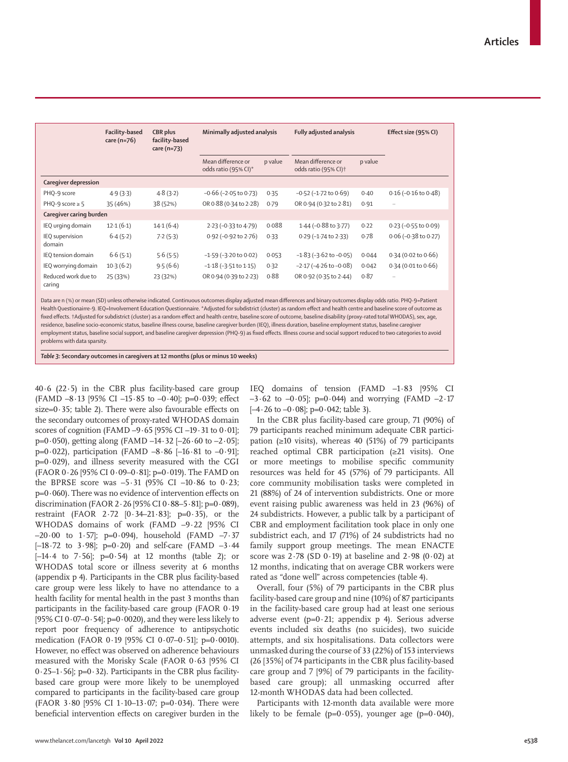|                               | Facility-based<br>care $(n=76)$ | CBR plus<br>facility-based<br>care (n=73) | Minimally adjusted analysis                |         | Fully adjusted analysis                                |         | Effect size (95% CI)         |
|-------------------------------|---------------------------------|-------------------------------------------|--------------------------------------------|---------|--------------------------------------------------------|---------|------------------------------|
|                               |                                 |                                           | Mean difference or<br>odds ratio (95% CI)* | p value | Mean difference or<br>odds ratio (95% CI) <sup>+</sup> | p value |                              |
| Caregiver depression          |                                 |                                           |                                            |         |                                                        |         |                              |
| PHQ-9 score                   | 4.9(3.3)                        | 4.8(3.2)                                  | $-0.66$ ( $-2.05$ to 0.73)                 | 0.35    | $-0.52$ ( $-1.72$ to $0.69$ )                          | 0.40    | $0.16$ (-0.16 to 0.48)       |
| PHQ-9 score $\geq$ 5          | 35 (46%)                        | 38 (52%)                                  | OR 0.88 (0.34 to 2.28)                     | 0.79    | OR 0.94 (0.32 to 2.81)                                 | 0.91    | $\cdots$                     |
| Caregiver caring burden       |                                 |                                           |                                            |         |                                                        |         |                              |
| IEQ urging domain             | 12.1(6.1)                       | 14.1(6.4)                                 | 2.23 (-0.33 to 4.79)                       | 0.088   | 1.44 (-0.88 to 3.77)                                   | 0.22    | $0.23$ (-0.55 to 0.09)       |
| IEQ supervision<br>domain     | 6.4(5.2)                        | 7.2(5.3)                                  | 0.92 (-0.92 to 2.76)                       | 0.33    | $0.29$ (-1.74 to 2.33)                                 | 0.78    | $0.06$ ( $-0.38$ to $0.27$ ) |
| IEQ tension domain            | 6.6(5.1)                        | 5.6(5.5)                                  | $-1.59$ ( $-3.20$ to 0.02)                 | 0.053   | $-1.83$ ( $-3.62$ to $-0.05$ )                         | 0.044   | $0.34$ (0.02 to 0.66)        |
| IEQ worrying domain           | $10-3(6-2)$                     | 9.5(6.6)                                  | $-1.18$ ( $-3.51$ to $1.15$ )              | 0.32    | $-2.17$ ( $-4.26$ to $-0.08$ )                         | 0.042   | $0.34$ (0.01 to 0.66)        |
| Reduced work due to<br>caring | 25 (33%)                        | 23 (32%)                                  | OR 0.94 (0.39 to 2.23)                     | 0.88    | OR 0.92 (0.35 to 2.44)                                 | 0.87    | $\ddotsc$                    |

Data are n (%) or mean (SD) unless otherwise indicated. Continuous outcomes display adjusted mean differences and binary outcomes display odds ratio. PHQ-9=Patient Health Questionairre-9. IEQ=Involvement Education Questionnaire. \*Adjusted for subdistrict (cluster) as random effect and health centre and baseline score of outcome as fixed effects. †Adjusted for subdistrict (cluster) as a random effect and health centre, baseline score of outcome, baseline disability (proxy-rated total WHODAS), sex, age, residence, baseline socio-economic status, baseline illness course, baseline caregiver burden (IEQ), illness duration, baseline employment status, baseline caregiver employment status, baseline social support, and baseline caregiver depression (PHQ-9) as fixed effects. Illness course and social support reduced to two categories to avoid problems with data sparsity.

*Table 3:* **Secondary outcomes in caregivers at 12 months (plus or minus 10 weeks)**

 $40.6$  (22.5) in the CBR plus facility-based care group (FAMD  $-8.13$  [95% CI  $-15.85$  to  $-0.40$ ]; p=0.039; effect size= $0.35$ ; table 2). There were also favourable effects on the secondary outcomes of proxy-rated WHODAS domain scores of cognition (FAMD –9·65 [95% CI –19·31 to 0·01];  $p=0.050$ , getting along (FAMD –14 $-32$  [–26 $-60$  to –2 $-05$ ];  $p=0.022$ ), participation (FAMD  $-8.86$  [-16.81 to  $-0.91$ ];  $p=0.029$ ), and illness severity measured with the CGI (FAOR 0·26 [95% CI 0·09–0·81]; p=0·019). The FAMD on the BPRSE score was  $-5.31$  (95% CI  $-10.86$  to 0.23;  $p=0.060$ ). There was no evidence of intervention effects on discrimination (FAOR 2·26 [95% CI 0·88–5·81]; p=0·089), restraint (FAOR 2·72 [0·34–21·83]; p=0·35), or the WHODAS domains of work (FAMD –9·22 [95% CI  $-20.00$  to 1.57]; p=0.094), household (FAMD  $-7.37$  $[-18.72 \text{ to } 3.98]$ ; p=0.20) and self-care (FAMD -3.44  $[-14.4 \text{ to } 7.56]$ ;  $p=0.54$ ) at 12 months (table 2); or WHODAS total score or illness severity at 6 months (appendix p 4). Participants in the CBR plus facility-based care group were less likely to have no attendance to a health facility for mental health in the past 3 months than participants in the facility-based care group (FAOR 0·19 [95% CI  $0.07-0.54$ ]; p=0.0020), and they were less likely to report poor frequency of adherence to antipsychotic medication (FAOR 0·19 [95% CI 0·07–0·51]; p=0·0010). However, no effect was observed on adherence behaviours measured with the Morisky Scale (FAOR 0·63 [95% CI 0·25–1·56]; p=0·32). Participants in the CBR plus facilitybased care group were more likely to be unemployed compared to participants in the facility-based care group (FAOR 3·80 [95% CI 1·10–13·07; p=0·034). There were beneficial intervention effects on caregiver burden in the IEQ domains of tension (FAMD –1·83 [95% CI  $-3.62$  to  $-0.05$ ; p=0.044) and worrying (FAMD  $-2.17$  $[-4.26 \text{ to } -0.08]; p=0.042;$  table 3).

In the CBR plus facility-based care group, 71 (90%) of 79 participants reached minimum adequate CBR participation ( $\geq 10$  visits), whereas 40 (51%) of 79 participants reached optimal CBR participation (≥21 visits). One or more meetings to mobilise specific community resources was held for 45 (57%) of 79 participants. All core community mobilisation tasks were completed in 21 (88%) of 24 of intervention subdistricts. One or more event raising public awareness was held in 23 (96%) of 24 subdistricts. However, a public talk by a participant of CBR and employment facilitation took place in only one subdistrict each, and 17 (71%) of 24 subdistricts had no family support group meetings. The mean ENACTE score was  $2.78$  (SD  $0.19$ ) at baseline and  $2.98$  (0.02) at 12 months, indicating that on average CBR workers were rated as "done well" across competencies (table 4).

Overall, four (5%) of 79 participants in the CBR plus facility-based care group and nine (10%) of 87 participants in the facility-based care group had at least one serious adverse event (p= $0.21$ ; appendix p 4). Serious adverse events included six deaths (no suicides), two suicide attempts, and six hospitalisations. Data collectors were unmasked during the course of 33 (22%) of 153 interviews (26 [35%] of 74 participants in the CBR plus facility-based care group and 7 [9%] of 79 participants in the facilitybased care group); all unmasking occurred after 12-month WHODAS data had been collected.

Participants with 12-month data available were more likely to be female ( $p=0.055$ ), younger age ( $p=0.040$ ),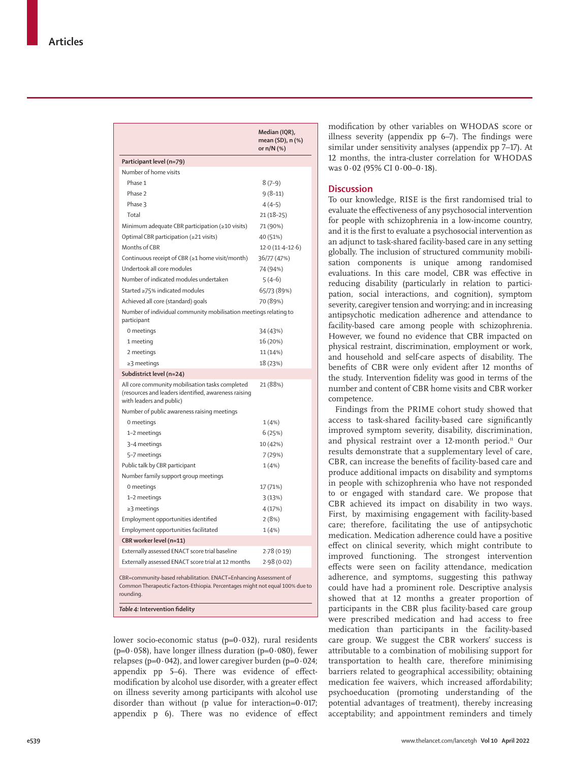|                                                                                                                                                                | Median (IQR),                  |  |  |  |
|----------------------------------------------------------------------------------------------------------------------------------------------------------------|--------------------------------|--|--|--|
|                                                                                                                                                                | mean (SD), n (%)<br>or n/N (%) |  |  |  |
| Participant level (n=79)                                                                                                                                       |                                |  |  |  |
| Number of home visits                                                                                                                                          |                                |  |  |  |
| Phase 1                                                                                                                                                        | $8(7-9)$                       |  |  |  |
| Phase 2                                                                                                                                                        | $9(8-11)$                      |  |  |  |
| Phase 3                                                                                                                                                        | $4(4-5)$                       |  |  |  |
| Total                                                                                                                                                          | $21(18-25)$                    |  |  |  |
| Minimum adequate CBR participation (≥10 visits)                                                                                                                | 71 (90%)                       |  |  |  |
| Optimal CBR participation (≥21 visits)                                                                                                                         | 40 (51%)                       |  |  |  |
| Months of CBR                                                                                                                                                  | $12.0(11.4-12.6)$              |  |  |  |
| Continuous receipt of CBR (≥1 home visit/month)                                                                                                                | 36/77 (47%)                    |  |  |  |
| Undertook all core modules                                                                                                                                     | 74 (94%)                       |  |  |  |
| Number of indicated modules undertaken                                                                                                                         | $5(4-6)$                       |  |  |  |
| Started ≥75% indicated modules                                                                                                                                 | 65/73 (89%)                    |  |  |  |
| Achieved all core (standard) goals                                                                                                                             | 70 (89%)                       |  |  |  |
| Number of individual community mobilisation meetings relating to<br>participant                                                                                |                                |  |  |  |
| 0 meetings                                                                                                                                                     | 34 (43%)                       |  |  |  |
| 1 meeting                                                                                                                                                      | 16 (20%)                       |  |  |  |
| 2 meetings                                                                                                                                                     | 11 (14%)                       |  |  |  |
| $\geq$ 3 meetings                                                                                                                                              | 18 (23%)                       |  |  |  |
| Subdistrict level (n=24)                                                                                                                                       |                                |  |  |  |
| All core community mobilisation tasks completed<br>(resources and leaders identified, awareness raising<br>with leaders and public)                            | 21 (88%)                       |  |  |  |
| Number of public awareness raising meetings                                                                                                                    |                                |  |  |  |
| 0 meetings                                                                                                                                                     | 1(4%                           |  |  |  |
| 1-2 meetings                                                                                                                                                   | 6(25%)                         |  |  |  |
| 3-4 meetings                                                                                                                                                   | 10 (42%)                       |  |  |  |
| 5-7 meetings                                                                                                                                                   | 7 (29%)                        |  |  |  |
| Public talk by CBR participant                                                                                                                                 | 1(4%)                          |  |  |  |
| Number family support group meetings                                                                                                                           |                                |  |  |  |
| 0 meetings                                                                                                                                                     | 17 (71%)                       |  |  |  |
| 1-2 meetings                                                                                                                                                   | 3(13%)                         |  |  |  |
| ≥3 meetings                                                                                                                                                    | 4 (17%)                        |  |  |  |
| Employment opportunities identified                                                                                                                            | 2(8%)                          |  |  |  |
| Employment opportunities facilitated                                                                                                                           | 1(4%)                          |  |  |  |
| CBR worker level (n=11)                                                                                                                                        |                                |  |  |  |
| Externally assessed ENACT score trial baseline                                                                                                                 | 2.78(0.19)                     |  |  |  |
| Externally assessed ENACT score trial at 12 months                                                                                                             | 2.98(0.02)                     |  |  |  |
|                                                                                                                                                                |                                |  |  |  |
| CBR=community-based rehabilitation. ENACT=Enhancing Assessment of<br>Common Therapeutic Factors-Ethiopia. Percentages might not equal 100% due to<br>rounding. |                                |  |  |  |
| Table 4: Intervention fidelity                                                                                                                                 |                                |  |  |  |

lower socio-economic status ( $p=0.032$ ), rural residents ( $p=0.058$ ), have longer illness duration ( $p=0.080$ ), fewer relapses ( $p=0.042$ ), and lower caregiver burden ( $p=0.024$ ; appendix pp 5–6). There was evidence of effectmodification by alcohol use disorder, with a greater effect on illness severity among participants with alcohol use disorder than without (p value for interaction= $0.017$ ; appendix p 6). There was no evidence of effect modification by other variables on WHODAS score or illness severity (appendix pp 6–7). The findings were similar under sensitivity analyses (appendix pp 7–17). At 12 months, the intra-cluster correlation for WHODAS was 0·02 (95% CI 0·00–0·18).

# **Discussion**

To our knowledge, RISE is the first randomised trial to evaluate the effectiveness of any psychosocial intervention for people with schizophrenia in a low-income country, and it is the first to evaluate a psychosocial intervention as an adjunct to task-shared facility-based care in any setting globally. The inclusion of structured community mobilisation components is unique among randomised evaluations. In this care model, CBR was effective in reducing disability (particularly in relation to participation, social interactions, and cognition), symptom severity, caregiver tension and worrying; and in increasing antipsychotic medication adherence and attendance to facility-based care among people with schizophrenia. However, we found no evidence that CBR impacted on physical restraint, discrimination, employment or work, and household and self-care aspects of disability. The benefits of CBR were only evident after 12 months of the study. Intervention fidelity was good in terms of the number and content of CBR home visits and CBR worker competence.

Findings from the PRIME cohort study showed that access to task-shared facility-based care significantly improved symptom severity, disability, discrimination, and physical restraint over a 12-month period.<sup>11</sup> Our results demonstrate that a supplementary level of care, CBR, can increase the benefits of facility-based care and produce additional impacts on disability and symptoms in people with schizophrenia who have not responded to or engaged with standard care. We propose that CBR achieved its impact on disability in two ways. First, by maximising engagement with facility-based care; therefore, facilitating the use of antipsychotic medication. Medication adherence could have a positive effect on clinical severity, which might contribute to improved functioning. The strongest intervention effects were seen on facility attendance, medication adherence, and symptoms, suggesting this pathway could have had a prominent role. Descriptive analysis showed that at 12 months a greater proportion of participants in the CBR plus facility-based care group were prescribed medication and had access to free medication than participants in the facility-based care group. We suggest the CBR workers' success is attributable to a combination of mobilising support for transportation to health care, therefore minimising barriers related to geographical accessibility; obtaining medication fee waivers, which increased affordability; psychoeducation (promoting understanding of the potential advantages of treatment), thereby increasing acceptability; and appointment reminders and timely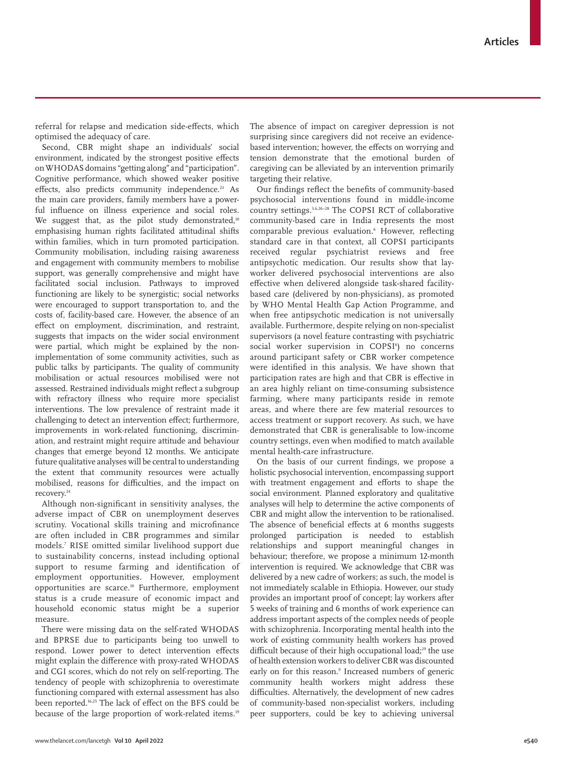referral for relapse and medication side-effects, which optimised the adequacy of care.

Second, CBR might shape an individuals' social environment, indicated by the strongest positive effects on WHODAS domains "getting along" and "participation". Cognitive performance, which showed weaker positive effects, also predicts community independence.<sup>23</sup> As the main care providers, family members have a powerful influence on illness experience and social roles. We suggest that, as the pilot study demonstrated,<sup>10</sup> emphasising human rights facilitated attitudinal shifts within families, which in turn promoted participation. Community mobilisation, including raising awareness and engagement with community members to mobilise support, was generally comprehensive and might have facilitated social inclusion. Pathways to improved functioning are likely to be synergistic; social networks were encouraged to support transportation to, and the costs of, facility-based care. However, the absence of an effect on employment, discrimination, and restraint, suggests that impacts on the wider social environment were partial, which might be explained by the nonimplementation of some community activities, such as public talks by participants. The quality of community mobilisation or actual resources mobilised were not assessed. Restrained individuals might reflect a subgroup with refractory illness who require more specialist interventions. The low prevalence of restraint made it challenging to detect an intervention effect; furthermore, improvements in work-related functioning, discrimination, and restraint might require attitude and behaviour changes that emerge beyond 12 months. We anticipate future qualitative analyses will be central to understanding the extent that community resources were actually mobilised, reasons for difficulties, and the impact on recovery.24

Although non-significant in sensitivity analyses, the adverse impact of CBR on unemployment deserves scrutiny. Vocational skills training and microfinance are often included in CBR programmes and similar models.7 RISE omitted similar livelihood support due to sustainability concerns, instead including optional support to resume farming and identification of employment opportunities. However, employment opportunities are scarce.10 Furthermore, employment status is a crude measure of economic impact and household economic status might be a superior measure.

There were missing data on the self-rated WHODAS and BPRSE due to participants being too unwell to respond. Lower power to detect intervention effects might explain the difference with proxy-rated WHODAS and CGI scores, which do not rely on self-reporting. The tendency of people with schizophrenia to overestimate functioning compared with external assessment has also been reported.16,25 The lack of effect on the BFS could be because of the large proportion of work-related items.<sup>19</sup> The absence of impact on caregiver depression is not surprising since caregivers did not receive an evidencebased intervention; however, the effects on worrying and tension demonstrate that the emotional burden of caregiving can be alleviated by an intervention primarily targeting their relative.

Our findings reflect the benefits of community-based psychosocial interventions found in middle-income country settings.3,6,26–28 The COPSI RCT of collaborative community-based care in India represents the most comparable previous evaluation.6 However, reflecting standard care in that context, all COPSI participants received regular psychiatrist reviews and free antipsychotic medication. Our results show that layworker delivered psychosocial interventions are also effective when delivered alongside task-shared facilitybased care (delivered by non-physicians), as promoted by WHO Mental Health Gap Action Programme, and when free antipsychotic medication is not universally available. Furthermore, despite relying on non-specialist supervisors (a novel feature contrasting with psychiatric social worker supervision in COPSI<sup>6</sup>) no concerns around participant safety or CBR worker competence were identified in this analysis. We have shown that participation rates are high and that CBR is effective in an area highly reliant on time-consuming subsistence farming, where many participants reside in remote areas, and where there are few material resources to access treatment or support recovery. As such, we have demonstrated that CBR is generalisable to low-income country settings, even when modified to match available mental health-care infrastructure.

On the basis of our current findings, we propose a holistic psychosocial intervention, encompassing support with treatment engagement and efforts to shape the social environment. Planned exploratory and qualitative analyses will help to determine the active components of CBR and might allow the intervention to be rationalised. The absence of beneficial effects at 6 months suggests prolonged participation is needed to establish relationships and support meaningful changes in behaviour; therefore, we propose a minimum 12-month intervention is required. We acknowledge that CBR was delivered by a new cadre of workers; as such, the model is not immediately scalable in Ethiopia. However, our study provides an important proof of concept; lay workers after 5 weeks of training and 6 months of work experience can address important aspects of the complex needs of people with schizophrenia. Incorporating mental health into the work of existing community health workers has proved difficult because of their high occupational load:<sup>29</sup> the use of health extension workers to deliver CBR was discounted early on for this reason.<sup>9</sup> Increased numbers of generic community health workers might address these difficulties. Alternatively, the development of new cadres of community-based non-specialist workers, including peer supporters, could be key to achieving universal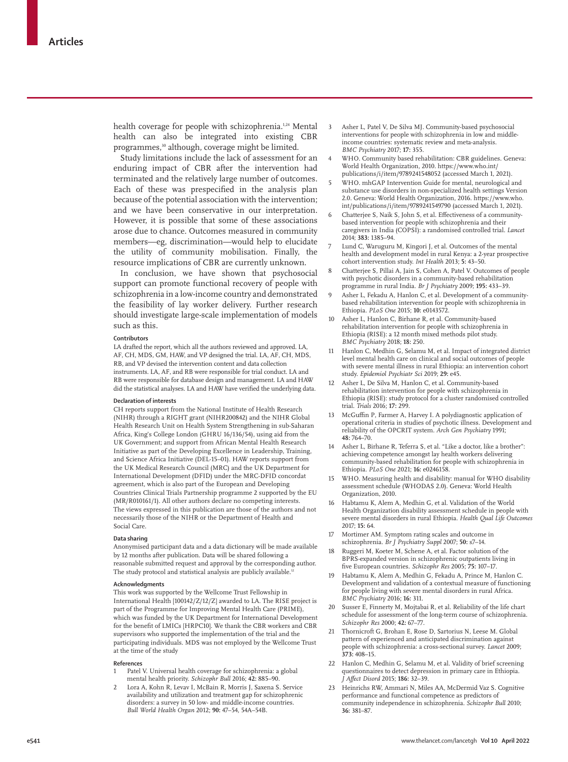health coverage for people with schizophrenia.<sup>1,24</sup> Mental health can also be integrated into existing CBR programmes,<sup>30</sup> although, coverage might be limited.

Study limitations include the lack of assessment for an enduring impact of CBR after the intervention had terminated and the relatively large number of outcomes. Each of these was prespecified in the analysis plan because of the potential association with the intervention; and we have been conservative in our interpretation. However, it is possible that some of these associations arose due to chance. Outcomes measured in community members—eg, discrimination—would help to elucidate the utility of community mobilisation. Finally, the resource implications of CBR are currently unknown.

In conclusion, we have shown that psychosocial support can promote functional recovery of people with schizophrenia in a low-income country and demonstrated the feasibility of lay worker delivery. Further research should investigate large-scale implementation of models such as this.

#### **Contributors**

LA drafted the report, which all the authors reviewed and approved. LA, AF, CH, MDS, GM, HAW, and VP designed the trial. LA, AF, CH, MDS, RB, and VP devised the intervention content and data collection instruments. LA, AF, and RB were responsible for trial conduct. LA and RB were responsible for database design and management. LA and HAW did the statistical analyses. LA and HAW have verified the underlying data.

#### **Declaration of interests**

CH reports support from the National Institute of Health Research (NIHR) through a RIGHT grant (NIHR200842) and the NIHR Global Health Research Unit on Health System Strengthening in sub-Saharan Africa, King's College London (GHRU 16/136/54), using aid from the UK Government; and support from African Mental Health Research Initiative as part of the Developing Excellence in Leadership, Training, and Science Africa Initiative (DEL-15–01). HAW reports support from the UK Medical Research Council (MRC) and the UK Department for International Development (DFID) under the MRC-DFID concordat agreement, which is also part of the European and Developing Countries Clinical Trials Partnership programme 2 supported by the EU (MR/R010161/1). All other authors declare no competing interests. The views expressed in this publication are those of the authors and not necessarily those of the NIHR or the Department of Health and Social Care.

#### **Data sharing**

Anonymised participant data and a data dictionary will be made available by 12 months after publication. Data will be shared following a reasonable submitted request and approval by the corresponding author. The study protocol and statistical analysis are publicly available.<sup>12</sup>

#### **Acknowledgments**

This work was supported by the Wellcome Trust Fellowship in International Health [100142/Z/12/Z] awarded to LA. The RISE project is part of the Programme for Improving Mental Health Care (PRIME), which was funded by the UK Department for International Development for the benefit of LMICs [HRPC10]. We thank the CBR workers and CBR supervisors who supported the implementation of the trial and the participating individuals. MDS was not employed by the Wellcome Trust at the time of the study

#### **References**

- Patel V. Universal health coverage for schizophrenia: a global mental health priority. *Schizophr Bull* 2016; **42:** 885–90.
- 2 Lora A, Kohn R, Levav I, McBain R, Morris J, Saxena S. Service availability and utilization and treatment gap for schizophrenic disorders: a survey in 50 low- and middle-income countries. *Bull World Health Organ* 2012; **90:** 47–54, 54A–54B.
- 3 Asher L, Patel V, De Silva MJ. Community-based psychosocial interventions for people with schizophrenia in low and middleincome countries: systematic review and meta-analysis. *BMC Psychiatry* 2017; **17:** 355.
- WHO. Community based rehabilitation: CBR guidelines. Geneva: World Health Organization, 2010. https://www.who.int/ publications/i/item/9789241548052 (accessed March 1, 2021).
- WHO. mhGAP Intervention Guide for mental, neurological and substance use disorders in non-specialized health settings Version 2.0. Geneva: World Health Organization, 2016. https://www.who. int/publications/i/item/9789241549790 (accessed March 1, 2021).
- 6 Chatterjee S, Naik S, John S, et al. Effectiveness of a communitybased intervention for people with schizophrenia and their caregivers in India (COPSI): a randomised controlled trial. *Lancet* 2014; **383:** 1385–94.
- Lund C, Waruguru M, Kingori J, et al. Outcomes of the mental health and development model in rural Kenya: a 2-year prospective cohort intervention study. *Int Health* 2013; **5:** 43–50.
- 8 Chatterjee S, Pillai A, Jain S, Cohen A, Patel V. Outcomes of people with psychotic disorders in a community-based rehabilitation programme in rural India. *Br J Psychiatry* 2009; **195:** 433–39.
- Asher L, Fekadu A, Hanlon C, et al. Development of a communitybased rehabilitation intervention for people with schizophrenia in Ethiopia. *PLoS One* 2015; **10:** e0143572.
- 10 Asher L, Hanlon C, Birhane R, et al. Community-based rehabilitation intervention for people with schizophrenia in Ethiopia (RISE): a 12 month mixed methods pilot study. *BMC Psychiatry* 2018; **18:** 250.
- 11 Hanlon C, Medhin G, Selamu M, et al. Impact of integrated district level mental health care on clinical and social outcomes of people with severe mental illness in rural Ethiopia: an intervention cohort study. *Epidemiol Psychiatr Sci* 2019; **29:** e45.
- 12 Asher L, De Silva M, Hanlon C, et al. Community-based rehabilitation intervention for people with schizophrenia in Ethiopia (RISE): study protocol for a cluster randomised controlled trial. *Trials* 2016; **17:** 299.
- 13 McGuffin P, Farmer A, Harvey I. A polydiagnostic application of operational criteria in studies of psychotic illness. Development and reliability of the OPCRIT system. *Arch Gen Psychiatry* 1991; **48:** 764–70.
- 14 Asher L, Birhane R, Teferra S, et al. "Like a doctor, like a brother": achieving competence amongst lay health workers delivering community-based rehabilitation for people with schizophrenia in Ethiopia. *PLoS One* 2021; **16:** e0246158.
- 15 WHO. Measuring health and disability: manual for WHO disability assessment schedule (WHODAS 2.0). Geneva: World Health Organization, 2010.
- 16 Habtamu K, Alem A, Medhin G, et al. Validation of the World Health Organization disability assessment schedule in people with severe mental disorders in rural Ethiopia. *Health Qual Life Outcomes* 2017; **15:** 64.
- 17 Mortimer AM. Symptom rating scales and outcome in schizophrenia. *Br J Psychiatry Suppl* 2007; **50:** s7–14.
- Ruggeri M, Koeter M, Schene A, et al. Factor solution of the BPRS-expanded version in schizophrenic outpatients living in five European countries. *Schizophr Res* 2005; **75:** 107–17.
- 19 Habtamu K, Alem A, Medhin G, Fekadu A, Prince M, Hanlon C. Development and validation of a contextual measure of functioning for people living with severe mental disorders in rural Africa. *BMC Psychiatry* 2016; **16:** 311.
- 20 Susser E, Finnerty M, Mojtabai R, et al. Reliability of the life chart schedule for assessment of the long-term course of schizophrenia. *Schizophr Res* 2000; **42:** 67–77.
- 21 Thornicroft G, Brohan E, Rose D, Sartorius N, Leese M. Global pattern of experienced and anticipated discrimination against people with schizophrenia: a cross-sectional survey. *Lancet* 2009; **373:** 408–15.
- 22 Hanlon C, Medhin G, Selamu M, et al. Validity of brief screening questionnaires to detect depression in primary care in Ethiopia. *J Affect Disord* 2015; **186:** 32–39.
- 23 Heinrichs RW, Ammari N, Miles AA, McDermid Vaz S. Cognitive performance and functional competence as predictors of community independence in schizophrenia. *Schizophr Bull* 2010; **36:** 381–87.